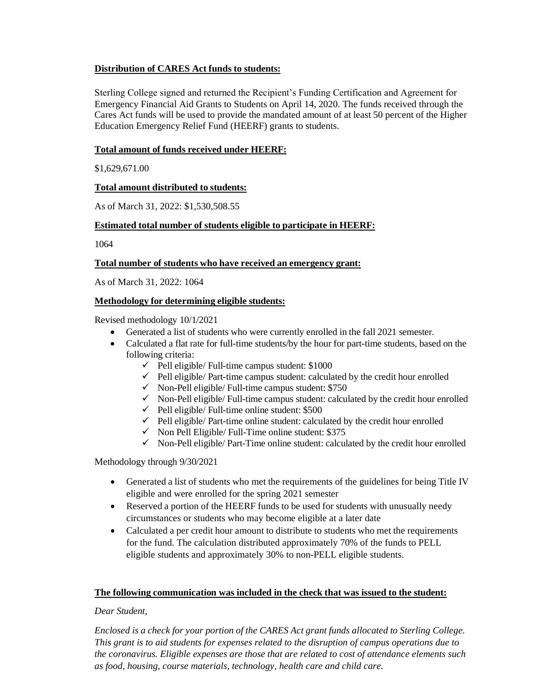# **Distribution of CARES Act funds to students:**

Sterling College signed and returned the Recipient's Funding Certification and Agreement for Emergency Financial Aid Grants to Students on April 14, 2020. The funds received through the Cares Act funds will be used to provide the mandated amount of at least 50 percent of the Higher Education Emergency Relief Fund (HEERF) grants to students.

### **Total amount of funds received under HEERF:**

\$1,629,671.00

# **Total amount distributed to students:**

As of March 31, 2022: \$1,530,508.55

# **Estimated total number of students eligible to participate in HEERF:**

1064

#### **Total number of students who have received an emergency grant:**

As of March 31, 2022: 1064

# **Methodology for determining eligible students:**

Revised methodology 10/1/2021

- Generated a list of students who were currently enrolled in the fall 2021 semester.
- Calculated a flat rate for full-time students/by the hour for part-time students, based on the following criteria:
	- $\checkmark$  Pell eligible/ Full-time campus student: \$1000
	- $\checkmark$  Pell eligible/ Part-time campus student: calculated by the credit hour enrolled
	- $\checkmark$  Non-Pell eligible/ Full-time campus student: \$750
	- $\checkmark$  Non-Pell eligible/ Full-time campus student: calculated by the credit hour enrolled
	- $\checkmark$  Pell eligible/ Full-time online student: \$500
	- $\checkmark$  Pell eligible/ Part-time online student: calculated by the credit hour enrolled
	- $\checkmark$  Non Pell Eligible/ Full-Time online student: \$375
	- $\checkmark$  Non-Pell eligible/ Part-Time online student: calculated by the credit hour enrolled

Methodology through 9/30/2021

- Generated a list of students who met the requirements of the guidelines for being Title IV eligible and were enrolled for the spring 2021 semester
- Reserved a portion of the HEERF funds to be used for students with unusually needy circumstances or students who may become eligible at a later date
- Calculated a per credit hour amount to distribute to students who met the requirements for the fund. The calculation distributed approximately 70% of the funds to PELL eligible students and approximately 30% to non-PELL eligible students.

#### **The following communication was included in the check that was issued to the student:**

#### *Dear Student,*

*Enclosed is a check for your portion of the CARES Act grant funds allocated to Sterling College. This grant is to aid students for expenses related to the disruption of campus operations due to the coronavirus. Eligible expenses are those that are related to cost of attendance elements such as food, housing, course materials, technology, health care and child care.*